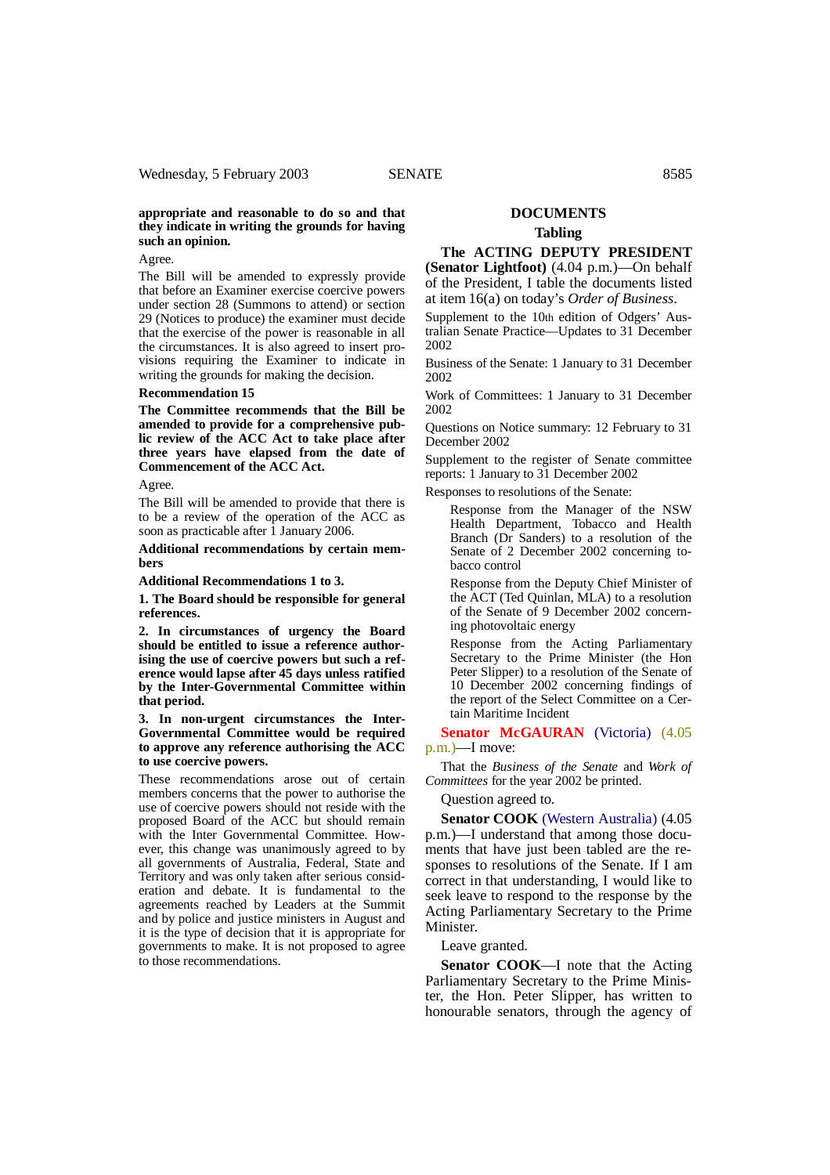## **appropriate and reasonable to do so and that they indicate in writing the grounds for having such an opinion.**

Agree.

The Bill will be amended to expressly provide that before an Examiner exercise coercive powers under section 28 (Summons to attend) or section 29 (Notices to produce) the examiner must decide that the exercise of the power is reasonable in all the circumstances. It is also agreed to insert provisions requiring the Examiner to indicate in writing the grounds for making the decision.

## **Recommendation 15**

**The Committee recommends that the Bill be amended to provide for a comprehensive public review of the ACC Act to take place after three years have elapsed from the date of Commencement of the ACC Act.**

Agree.

The Bill will be amended to provide that there is to be a review of the operation of the ACC as soon as practicable after 1 January 2006.

**Additional recommendations by certain members**

**Additional Recommendations 1 to 3.**

**1. The Board should be responsible for general references.**

**2. In circumstances of urgency the Board should be entitled to issue a reference authorising the use of coercive powers but such a reference would lapse after 45 days unless ratified by the Inter-Governmental Committee within that period.**

**3. In non-urgent circumstances the Inter-Governmental Committee would be required to approve any reference authorising the ACC to use coercive powers.**

These recommendations arose out of certain members concerns that the power to authorise the use of coercive powers should not reside with the proposed Board of the ACC but should remain with the Inter Governmental Committee. However, this change was unanimously agreed to by all governments of Australia, Federal, State and Territory and was only taken after serious consideration and debate. It is fundamental to the agreements reached by Leaders at the Summit and by police and justice ministers in August and it is the type of decision that it is appropriate for governments to make. It is not proposed to agree to those recommendations.

## **DOCUMENTS Tabling**

**The ACTING DEPUTY PRESIDENT (Senator Lightfoot)** (4.04 p.m.)—On behalf of the President, I table the documents listed at item 16(a) on today's *Order of Business*.

Supplement to the 10th edition of Odgers' Australian Senate Practice—Updates to 31 December 2002

Business of the Senate: 1 January to 31 December 2002

Work of Committees: 1 January to 31 December 2002

Questions on Notice summary: 12 February to 31 December 2002

Supplement to the register of Senate committee reports: 1 January to 31 December 2002

Responses to resolutions of the Senate:

Response from the Manager of the NSW Health Department, Tobacco and Health Branch (Dr Sanders) to a resolution of the Senate of 2 December 2002 concerning tobacco control

Response from the Deputy Chief Minister of the ACT (Ted Quinlan, MLA) to a resolution of the Senate of 9 December 2002 concerning photovoltaic energy

Response from the Acting Parliamentary Secretary to the Prime Minister (the Hon Peter Slipper) to a resolution of the Senate of 10 December 2002 concerning findings of the report of the Select Committee on a Certain Maritime Incident

**Senator McGAURAN** (Victoria) (4.05) p.m.)—I move:

That the *Business of the Senate* and *Work of Committees* for the year 2002 be printed.

Question agreed to.

**Senator COOK** (Western Australia) (4.05 p.m.)—I understand that among those documents that have just been tabled are the responses to resolutions of the Senate. If I am correct in that understanding, I would like to seek leave to respond to the response by the Acting Parliamentary Secretary to the Prime Minister.

Leave granted.

**Senator COOK**—I note that the Acting Parliamentary Secretary to the Prime Minister, the Hon. Peter Slipper, has written to honourable senators, through the agency of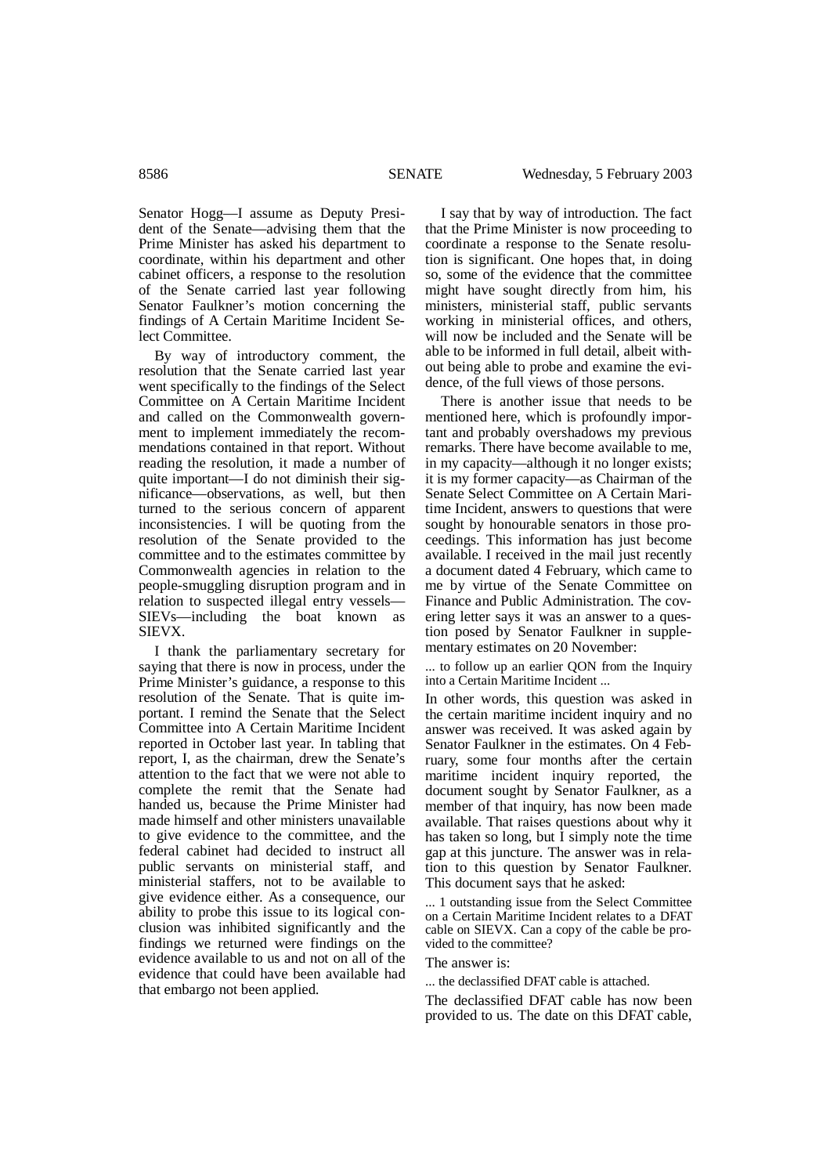Senator Hogg—I assume as Deputy President of the Senate—advising them that the Prime Minister has asked his department to coordinate, within his department and other cabinet officers, a response to the resolution of the Senate carried last year following Senator Faulkner's motion concerning the findings of A Certain Maritime Incident Select Committee.

By way of introductory comment, the resolution that the Senate carried last year went specifically to the findings of the Select Committee on A Certain Maritime Incident and called on the Commonwealth government to implement immediately the recommendations contained in that report. Without reading the resolution, it made a number of quite important—I do not diminish their significance—observations, as well, but then turned to the serious concern of apparent inconsistencies. I will be quoting from the resolution of the Senate provided to the committee and to the estimates committee by Commonwealth agencies in relation to the people-smuggling disruption program and in relation to suspected illegal entry vessels— SIEVs—including the boat known as SIEVX.

I thank the parliamentary secretary for saying that there is now in process, under the Prime Minister's guidance, a response to this resolution of the Senate. That is quite important. I remind the Senate that the Select Committee into A Certain Maritime Incident reported in October last year. In tabling that report, I, as the chairman, drew the Senate's attention to the fact that we were not able to complete the remit that the Senate had handed us, because the Prime Minister had made himself and other ministers unavailable to give evidence to the committee, and the federal cabinet had decided to instruct all public servants on ministerial staff, and ministerial staffers, not to be available to give evidence either. As a consequence, our ability to probe this issue to its logical conclusion was inhibited significantly and the findings we returned were findings on the evidence available to us and not on all of the evidence that could have been available had that embargo not been applied.

I say that by way of introduction. The fact that the Prime Minister is now proceeding to coordinate a response to the Senate resolution is significant. One hopes that, in doing so, some of the evidence that the committee might have sought directly from him, his ministers, ministerial staff, public servants working in ministerial offices, and others, will now be included and the Senate will be able to be informed in full detail, albeit without being able to probe and examine the evidence, of the full views of those persons.

There is another issue that needs to be mentioned here, which is profoundly important and probably overshadows my previous remarks. There have become available to me, in my capacity—although it no longer exists; it is my former capacity—as Chairman of the Senate Select Committee on A Certain Maritime Incident, answers to questions that were sought by honourable senators in those proceedings. This information has just become available. I received in the mail just recently a document dated 4 February, which came to me by virtue of the Senate Committee on Finance and Public Administration. The covering letter says it was an answer to a question posed by Senator Faulkner in supplementary estimates on 20 November:

... to follow up an earlier OON from the Inquiry into a Certain Maritime Incident ...

In other words, this question was asked in the certain maritime incident inquiry and no answer was received. It was asked again by Senator Faulkner in the estimates. On 4 February, some four months after the certain maritime incident inquiry reported, the document sought by Senator Faulkner, as a member of that inquiry, has now been made available. That raises questions about why it has taken so long, but  $\overline{I}$  simply note the time gap at this juncture. The answer was in relation to this question by Senator Faulkner. This document says that he asked:

... 1 outstanding issue from the Select Committee on a Certain Maritime Incident relates to a DFAT cable on SIEVX. Can a copy of the cable be provided to the committee?

The answer is:

... the declassified DFAT cable is attached.

The declassified DFAT cable has now been provided to us. The date on this DFAT cable,